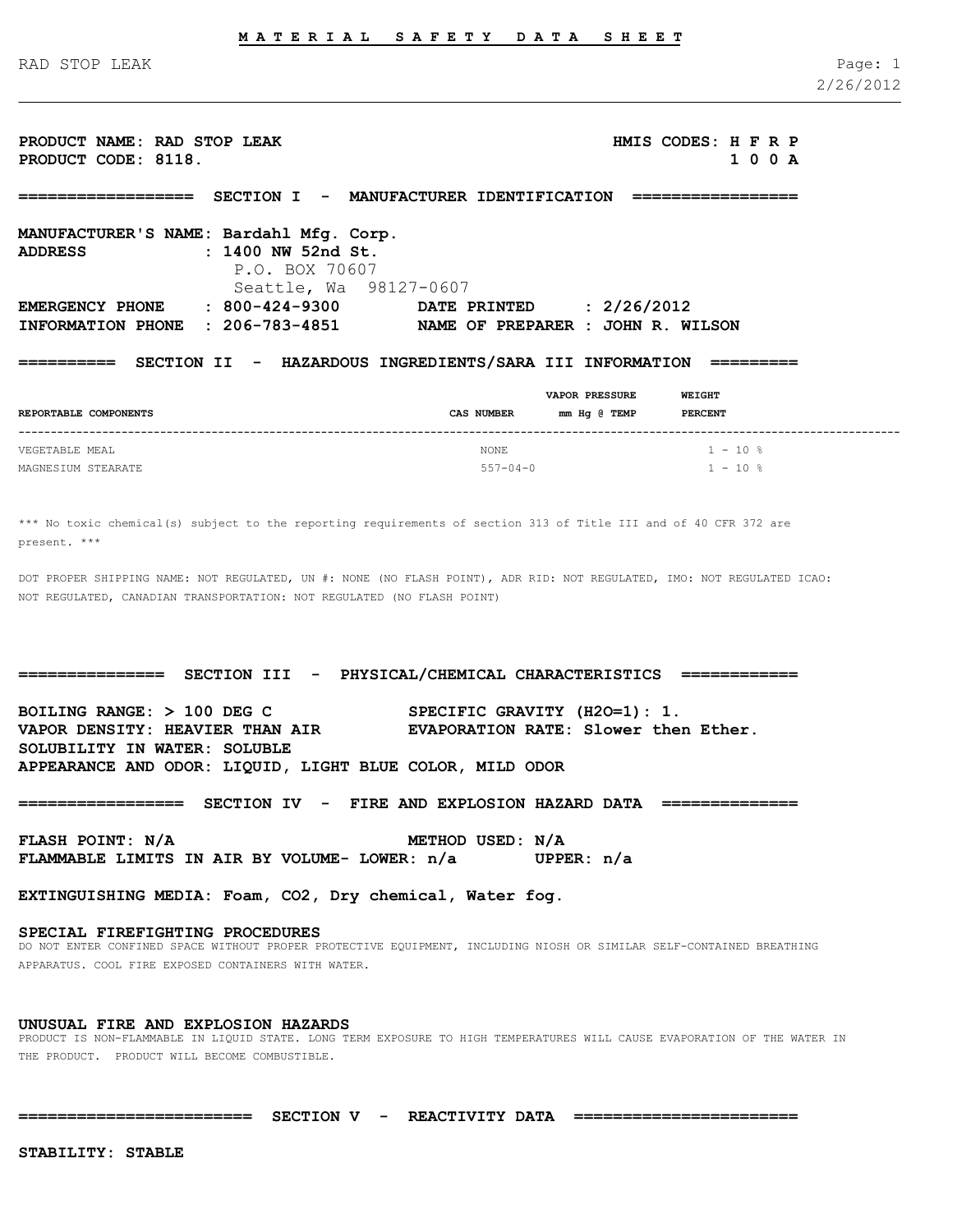RAD STOP LEAK Page: 1

**PRODUCT NAME: RAD STOP LEAK HMIS CODES: H F R P PRODUCT CODE: 8118. 1 0 0 A**

**================== SECTION I - MANUFACTURER IDENTIFICATION ================= MANUFACTURER'S NAME: Bardahl Mfg. Corp. ADDRESS : 1400 NW 52nd St.** P.O. BOX 70607 Seattle, Wa 98127-0607 **EMERGENCY PHONE : 800-424-9300 DATE PRINTED : 2/26/2012 INFORMATION PHONE : 206-783-4851 NAME OF PREPARER : JOHN R. WILSON ========== SECTION II - HAZARDOUS INGREDIENTS/SARA III INFORMATION =========**

|                       |                | <b>WEIGHT</b><br><b>VAPOR PRESSURE</b> |                    |
|-----------------------|----------------|----------------------------------------|--------------------|
| REPORTABLE COMPONENTS | CAS NUMBER     | mm Hg @ TEMP                           | <b>PERCENT</b>     |
| VEGETABLE MEAL        | <b>NONE</b>    |                                        | $1 - 10$ %         |
| MAGNESIUM STEARATE    | $557 - 04 - 0$ |                                        | $1 - 10$ $\approx$ |

\*\*\* No toxic chemical(s) subject to the reporting requirements of section 313 of Title III and of 40 CFR 372 are present. \*\*\*

DOT PROPER SHIPPING NAME: NOT REGULATED, UN #: NONE (NO FLASH POINT), ADR RID: NOT REGULATED, IMO: NOT REGULATED ICAO: NOT REGULATED, CANADIAN TRANSPORTATION: NOT REGULATED (NO FLASH POINT)

**=============== SECTION III - PHYSICAL/CHEMICAL CHARACTERISTICS ============**

**BOILING RANGE: > 100 DEG C SPECIFIC GRAVITY (H2O=1): 1. VAPOR DENSITY: HEAVIER THAN AIR EVAPORATION RATE: Slower then Ether. SOLUBILITY IN WATER: SOLUBLE APPEARANCE AND ODOR: LIQUID, LIGHT BLUE COLOR, MILD ODOR**

**================= SECTION IV - FIRE AND EXPLOSION HAZARD DATA ==============**

**FLASH POINT: N/A METHOD USED: N/A FLAMMABLE LIMITS IN AIR BY VOLUME- LOWER: n/a UPPER: n/a**

**EXTINGUISHING MEDIA: Foam, CO2, Dry chemical, Water fog.**

#### **SPECIAL FIREFIGHTING PROCEDURES**

DO NOT ENTER CONFINED SPACE WITHOUT PROPER PROTECTIVE EQUIPMENT, INCLUDING NIOSH OR SIMILAR SELF-CONTAINED BREATHING APPARATUS. COOL FIRE EXPOSED CONTAINERS WITH WATER.

# **UNUSUAL FIRE AND EXPLOSION HAZARDS**

PRODUCT IS NON-FLAMMABLE IN LIQUID STATE. LONG TERM EXPOSURE TO HIGH TEMPERATURES WILL CAUSE EVAPORATION OF THE WATER IN THE PRODUCT. PRODUCT WILL BECOME COMBUSTIBLE.

**======================== SECTION V - REACTIVITY DATA =======================**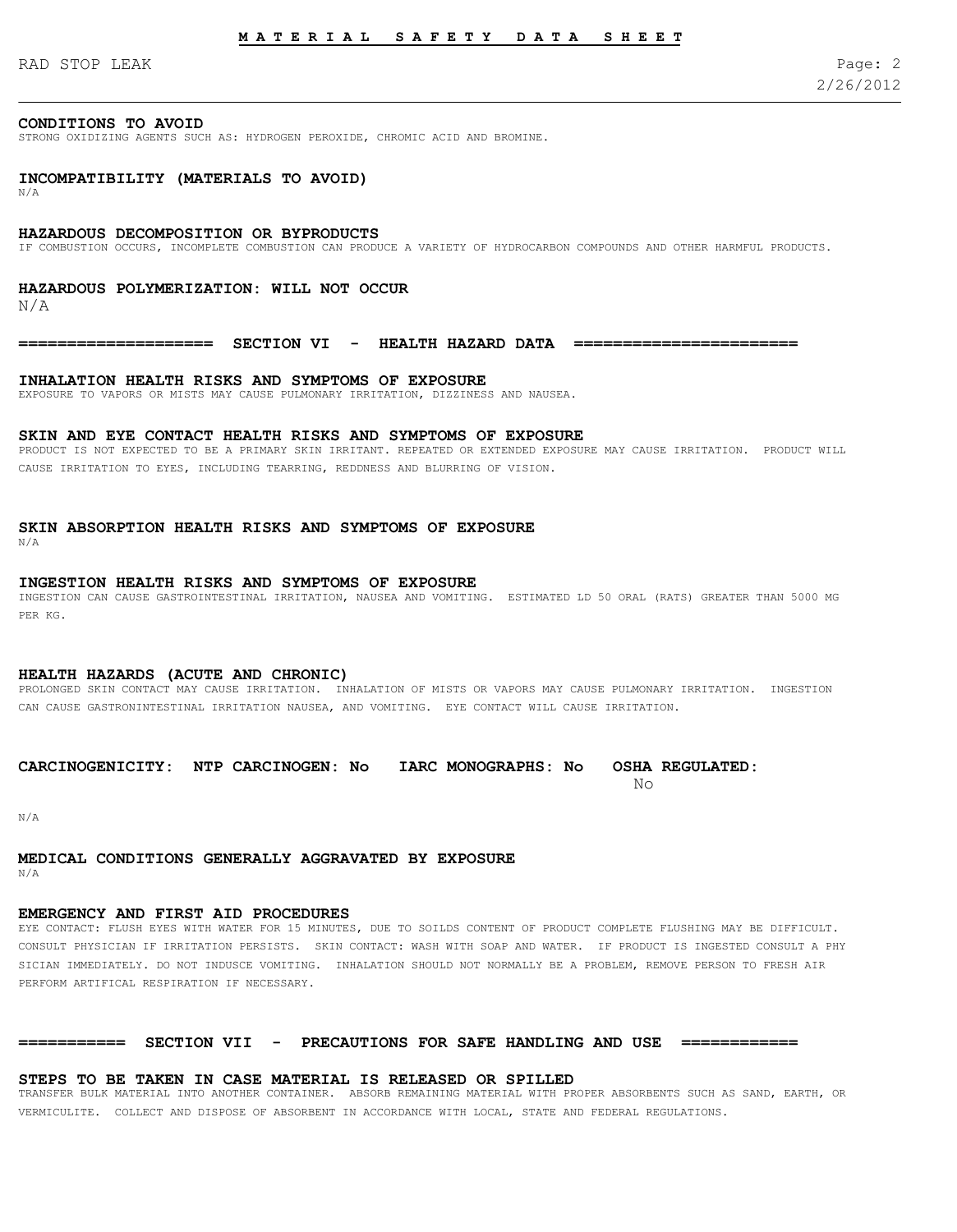# **M A T E R I A L S A F E T Y D A T A S H E E T**

RAD STOP LEAK Page: 2

# **CONDITIONS TO AVOID**

STRONG OXIDIZING AGENTS SUCH AS: HYDROGEN PEROXIDE, CHROMIC ACID AND BROMINE.

# **INCOMPATIBILITY (MATERIALS TO AVOID)**

N/A

#### **HAZARDOUS DECOMPOSITION OR BYPRODUCTS**

IF COMBUSTION OCCURS, INCOMPLETE COMBUSTION CAN PRODUCE A VARIETY OF HYDROCARBON COMPOUNDS AND OTHER HARMFUL PRODUCTS.

### **HAZARDOUS POLYMERIZATION: WILL NOT OCCUR**

N/A

**==================== SECTION VI - HEALTH HAZARD DATA =======================**

# **INHALATION HEALTH RISKS AND SYMPTOMS OF EXPOSURE**

EXPOSURE TO VAPORS OR MISTS MAY CAUSE PULMONARY IRRITATION, DIZZINESS AND NAUSEA.

#### **SKIN AND EYE CONTACT HEALTH RISKS AND SYMPTOMS OF EXPOSURE**

PRODUCT IS NOT EXPECTED TO BE A PRIMARY SKIN IRRITANT. REPEATED OR EXTENDED EXPOSURE MAY CAUSE IRRITATION. PRODUCT WILL CAUSE IRRITATION TO EYES, INCLUDING TEARRING, REDDNESS AND BLURRING OF VISION.

**SKIN ABSORPTION HEALTH RISKS AND SYMPTOMS OF EXPOSURE** N/A

# **INGESTION HEALTH RISKS AND SYMPTOMS OF EXPOSURE**

INGESTION CAN CAUSE GASTROINTESTINAL IRRITATION, NAUSEA AND VOMITING. ESTIMATED LD 50 ORAL (RATS) GREATER THAN 5000 MG PER KG.

# **HEALTH HAZARDS (ACUTE AND CHRONIC)**

PROLONGED SKIN CONTACT MAY CAUSE IRRITATION. INHALATION OF MISTS OR VAPORS MAY CAUSE PULMONARY IRRITATION. INGESTION CAN CAUSE GASTRONINTESTINAL IRRITATION NAUSEA, AND VOMITING. EYE CONTACT WILL CAUSE IRRITATION.

# **CARCINOGENICITY: NTP CARCINOGEN: No IARC MONOGRAPHS: No OSHA REGULATED:**

No

N/A

# **MEDICAL CONDITIONS GENERALLY AGGRAVATED BY EXPOSURE**

N/A

# **EMERGENCY AND FIRST AID PROCEDURES**

EYE CONTACT: FLUSH EYES WITH WATER FOR 15 MINUTES, DUE TO SOILDS CONTENT OF PRODUCT COMPLETE FLUSHING MAY BE DIFFICULT. CONSULT PHYSICIAN IF IRRITATION PERSISTS. SKIN CONTACT: WASH WITH SOAP AND WATER. IF PRODUCT IS INGESTED CONSULT A PHY SICIAN IMMEDIATELY. DO NOT INDUSCE VOMITING. INHALATION SHOULD NOT NORMALLY BE A PROBLEM, REMOVE PERSON TO FRESH AIR PERFORM ARTIFICAL RESPIRATION IF NECESSARY.

# **=========== SECTION VII - PRECAUTIONS FOR SAFE HANDLING AND USE ============**

# **STEPS TO BE TAKEN IN CASE MATERIAL IS RELEASED OR SPILLED**

TRANSFER BULK MATERIAL INTO ANOTHER CONTAINER. ABSORB REMAINING MATERIAL WITH PROPER ABSORBENTS SUCH AS SAND, EARTH, OR VERMICULITE. COLLECT AND DISPOSE OF ABSORBENT IN ACCORDANCE WITH LOCAL, STATE AND FEDERAL REGULATIONS.